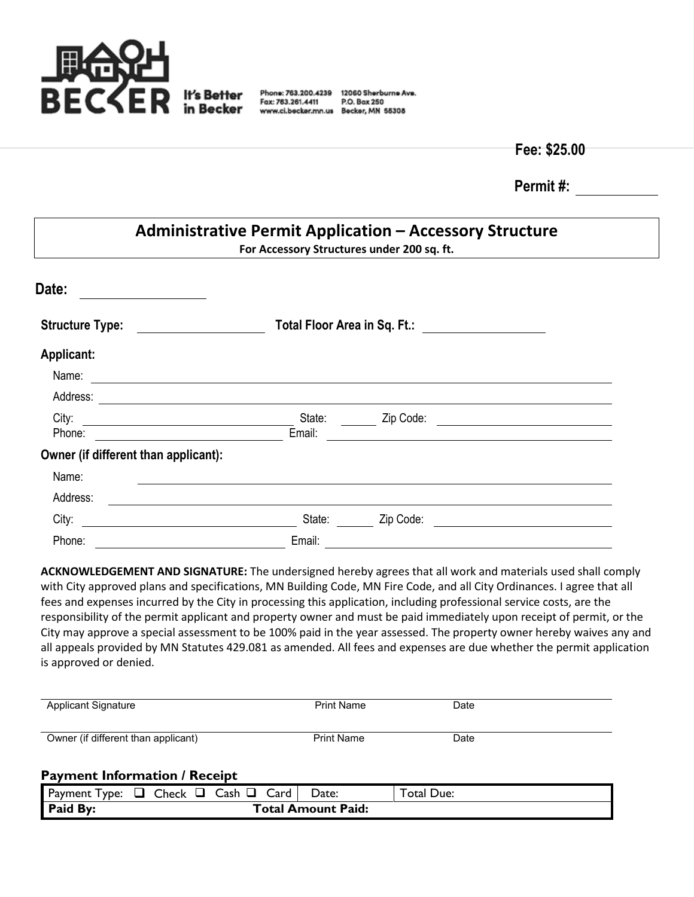

Fax: 763.261.4411

Phone: 763.200.4239 12060 Sherburne Ave. P.O. Box 250 www.ci.becker.mn.us Becker, MN 55308

**Fee: \$25.00**

**Permit #:**

| <b>Administrative Permit Application - Accessory Structure</b><br>For Accessory Structures under 200 sq. ft.                           |        |           |  |  |  |  |  |
|----------------------------------------------------------------------------------------------------------------------------------------|--------|-----------|--|--|--|--|--|
| Date:                                                                                                                                  |        |           |  |  |  |  |  |
| <b>Structure Type:</b>                                                                                                                 |        |           |  |  |  |  |  |
| Applicant:                                                                                                                             |        |           |  |  |  |  |  |
| Name:<br><u> 1989 - Johann Stoff, deutscher Stoff, der Stoff, der Stoff, der Stoff, der Stoff, der Stoff, der Stoff, der S</u>         |        |           |  |  |  |  |  |
| Address:<br><u>and the contract of the contract of the contract of the contract of the contract of the contract of the contract of</u> |        |           |  |  |  |  |  |
| City:<br><u> 1980 - Johann Barbara, martxa alemaniar a</u>                                                                             | State: | Zip Code: |  |  |  |  |  |
| Phone:                                                                                                                                 | Email: |           |  |  |  |  |  |
| Owner (if different than applicant):                                                                                                   |        |           |  |  |  |  |  |
| Name:                                                                                                                                  |        |           |  |  |  |  |  |
| Address:                                                                                                                               |        |           |  |  |  |  |  |
| City:                                                                                                                                  | State: | Zip Code: |  |  |  |  |  |
| Phone:                                                                                                                                 | Email: |           |  |  |  |  |  |

**ACKNOWLEDGEMENT AND SIGNATURE:** The undersigned hereby agrees that all work and materials used shall comply with City approved plans and specifications, MN Building Code, MN Fire Code, and all City Ordinances. I agree that all fees and expenses incurred by the City in processing this application, including professional service costs, are the responsibility of the permit applicant and property owner and must be paid immediately upon receipt of permit, or the City may approve a special assessment to be 100% paid in the year assessed. The property owner hereby waives any and all appeals provided by MN Statutes 429.081 as amended. All fees and expenses are due whether the permit application is approved or denied.

| <b>Applicant Signature</b>          | <b>Print Name</b> | Date |
|-------------------------------------|-------------------|------|
| Owner (if different than applicant) | <b>Print Name</b> | Date |

## **Payment Information / Receipt**

| Payment<br>v <sub>De:</sub>    |  | _heck |  | –ash | ardے | Date: | otal<br>Due: |
|--------------------------------|--|-------|--|------|------|-------|--------------|
| Paid By:<br>Total Amount Paid: |  |       |  |      |      |       |              |